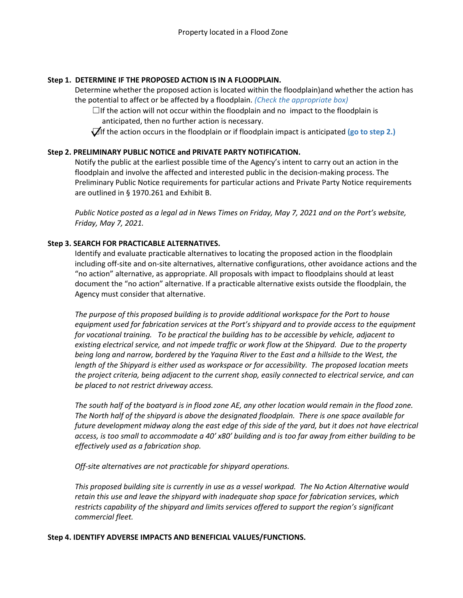## **Step 1. DETERMINE IF THE PROPOSED ACTION IS IN A FLOODPLAIN.**

Determine whether the proposed action is located within the floodplain)and whether the action has the potential to affect or be affected by a floodplain. *(Check the appropriate box)*

 $\Box$ If the action will not occur within the floodplain and no impact to the floodplain is anticipated, then no further action is necessary.

☐If the action occurs in the floodplain or if floodplain impact is anticipated **(go to step 2.)**

## **Step 2. PRELIMINARY PUBLIC NOTICE and PRIVATE PARTY NOTIFICATION.**

Notify the public at the earliest possible time of the Agency's intent to carry out an action in the floodplain and involve the affected and interested public in the decision-making process. The Preliminary Public Notice requirements for particular actions and Private Party Notice requirements are outlined in § 1970.261 and Exhibit B.

*Public Notice posted as a legal ad in News Times on Friday, May 7, 2021 and on the Port's website, Friday, May 7, 2021.* 

## **Step 3. SEARCH FOR PRACTICABLE ALTERNATIVES.**

Identify and evaluate practicable alternatives to locating the proposed action in the floodplain including off-site and on-site alternatives, alternative configurations, other avoidance actions and the "no action" alternative, as appropriate. All proposals with impact to floodplains should at least document the "no action" alternative. If a practicable alternative exists outside the floodplain, the Agency must consider that alternative.

*The purpose of this proposed building is to provide additional workspace for the Port to house equipment used for fabrication services at the Port's shipyard and to provide access to the equipment for vocational training. To be practical the building has to be accessible by vehicle, adjacent to existing electrical service, and not impede traffic or work flow at the Shipyard. Due to the property being long and narrow, bordered by the Yaquina River to the East and a hillside to the West, the length of the Shipyard is either used as workspace or for accessibility. The proposed location meets the project criteria, being adjacent to the current shop, easily connected to electrical service, and can be placed to not restrict driveway access.* 

*The south half of the boatyard is in flood zone AE, any other location would remain in the flood zone. The North half of the shipyard is above the designated floodplain. There is one space available for future development midway along the east edge of this side of the yard, but it does not have electrical access, is too small to accommodate a 40' x80' building and is too far away from either building to be effectively used as a fabrication shop.* 

*Off-site alternatives are not practicable for shipyard operations.* 

*This proposed building site is currently in use as a vessel workpad. The No Action Alternative would retain this use and leave the shipyard with inadequate shop space for fabrication services, which restricts capability of the shipyard and limits services offered to support the region's significant commercial fleet.* 

**Step 4. IDENTIFY ADVERSE IMPACTS AND BENEFICIAL VALUES/FUNCTIONS.**